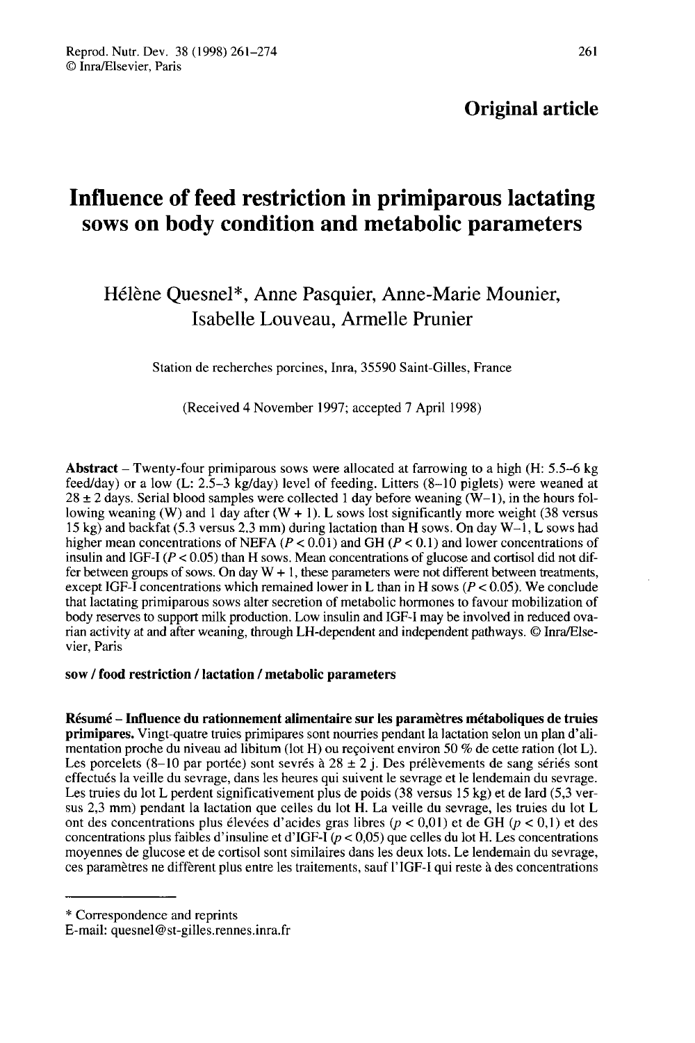# Influence of feed restriction in primiparous lactating sows on body condition and metabolic parameters

# Hélène Quesnel\*, Anne Pasquier, Anne-Marie Mounier, Isabelle Louveau, Armelle Prunier

Station de recherches porcines, Inra, 35590 Saint-Gilles, France

(Received 4 November 1997; accepted 7 April 1998)

Abstract – Twenty-four primiparous sows were allocated at farrowing to a high  $(H: 5.5-6$  kg feed/day) or a low (L: 2.5-3 kg/day) level of feeding. Litters (8-10 piglets) were weaned at  $28 \pm 2$  days. Serial blood samples were collected 1 day before weaning ( $\overline{W}$ –1), in the hours following weaning (W) and 1 day after  $(W + 1)$ . L sows lost significantly more weight (38 versus 15 kg) and backfat (5.3 versus 2.3 mm) during lactation than H sows. On day W-1, L sows had higher mean concentrations of NEFA ( $P < 0.01$ ) and GH ( $P < 0.1$ ) and lower concentrations of insulin and IGF-I  $(P < 0.05)$  than H sows. Mean concentrations of glucose and cortisol did not differ between groups of sows. On day  $W + 1$ , these parameters were not different between treatments, except IGF-I concentrations which remained lower in L than in H sows ( $P < 0.05$ ). We conclude that lactating primiparous sows alter secretion of metabolic hormones to favour mobilization of body reserves to support milk production. Low insulin and IGF-I may be involved in reduced ovarian activity at and after weaning, through LH-dependent and independent pathways. © Inra/Elsevier, Paris

## sow / food restriction / lactation / metabolic parameters

Résumé - Influence du rationnement alimentaire sur les paramètres métaboliques de truies primipares. Vingt-quatre truies primipares sont nourries pendant la lactation selon un plan d'alimentation proche du niveau ad libitum (lot H) ou reçoivent environ 50 % de cette ration (lot L). Les porcelets (8-10 par portée) sont sevrés à 28  $\pm$  2 j. Des prélèvements de sang sériés sont effectués la veille du sevrage, dans les heures qui suivent le sevrage et le lendemain du sevrage. Les truies du lot L perdent significativement plus de poids (38 versus 15 kg) et de lard (5,3 versus 2,3 mm) pendant la lactation que celles du lot H. La veille du sevrage, les truies du lot L ont des concentrations plus élevées d'acides gras libres ( $p < 0.01$ ) et de GH ( $p < 0.1$ ) et des concentrations plus faibles d'insuline et d'IGF-I ( $p < 0.05$ ) que celles du lot H. Les concentrations moyennes de glucose et de cortisol sont similaires dans les deux lots. Le lendemain du sevrage, ces paramètres ne diffèrent plus entre les traitements, sauf l' IGF-I qui reste à des concentrations

\* Correspondence and reprints

E-mail: quesnel@st-gilles.rennes.inra.fr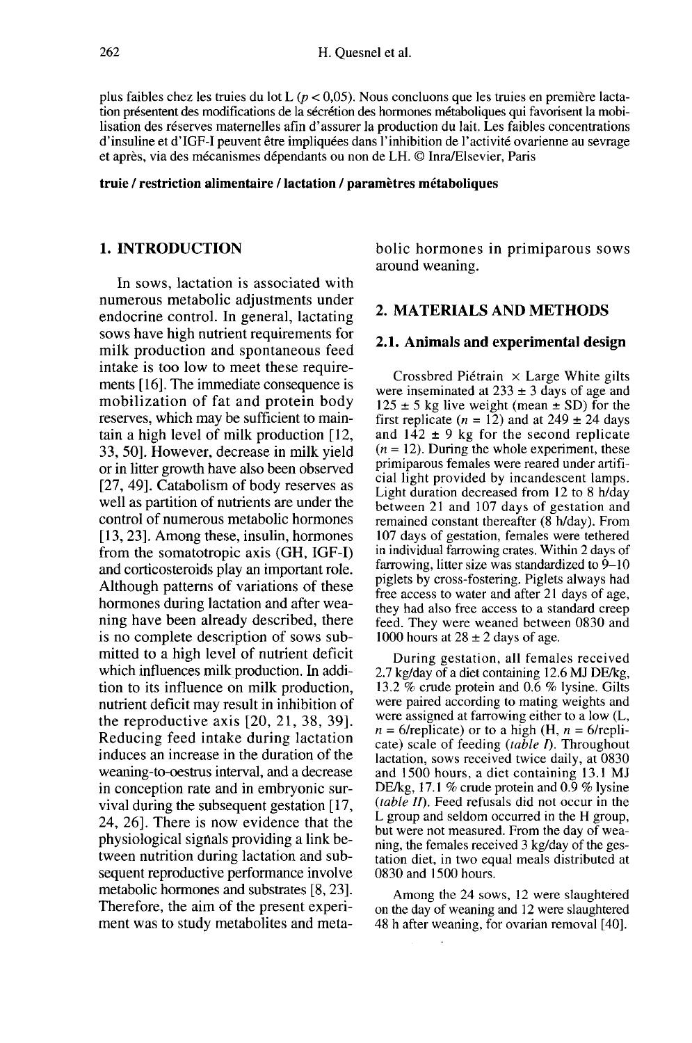plus faibles chez les truies du lot L ( $p < 0.05$ ). Nous concluons que les truies en première lactation présentent des modifications de la sécrétion des hormones métaboliques qui favorisent la mobilisation des réserves maternelles afin d'assurer la production du lait. Les faibles concentrations d'insuline et d'IGF-I peuvent être impliquées dans l'inhibition de l'activité ovarienne au sevrage et après, via des mécanismes dépendants ou non de LH. © Inra/Elsevier, Paris

#### truie / restriction alimentaire / lactation / paramètres métaboliques

# 1. INTRODUCTION

In sows, lactation is associated with numerous metabolic adjustments under endocrine control. In general, lactating sows have high nutrient requirements for milk production and spontaneous feed intake is too low to meet these require ments [16]. The immediate consequence is mobilization of fat and protein body reserves, which may be sufficient to maintain a high level of milk production [12, 33, 50]. However, decrease in milk yield or in litter growth have also been observed [27, 49]. Catabolism of body reserves as well as partition of nutrients are under the control of numerous metabolic hormones [13,23]. Among these, insulin, hormones from the somatotropic axis (GH, IGF-I) and corticosteroids play an important role. Although patterns of variations of these hormones during lactation and after weaning have been already described, there is no complete description of sows submitted to a high level of nutrient deficit which influences milk production. In addition to its influence on milk production, nutrient deficit may result in inhibition of the reproductive axis [20, 21, 38, 39]. Reducing feed intake during lactation induces an increase in the duration of the weaning-to-oestrus interval, and a decrease in conception rate and in embryonic survival during the subsequent gestation [17, 24, 26]. There is now evidence that the physiological signals providing a link between nutrition during lactation and subsequent reproductive performance involve metabolic hormones and substrates [8, 23]. Therefore, the aim of the present experi ment was to study metabolites and metabolic hormones in primiparous sows around weaning.

# 2. MATERIALS AND METHODS

## 2.1. Animals and experimental design

Crossbred Piétrain  $\times$  Large White gilts were inseminated at 233  $\pm$  3 days of age and  $125 \pm 5$  kg live weight (mean  $\pm$  SD) for the first replicate ( $n = 12$ ) and at 249  $\pm$  24 days and  $142 \pm 9$  kg for the second replicate  $(n = 12)$ . During the whole experiment, these primiparous females were reared under artificial light provided by incandescent lamps. Light duration decreased from 12 to 8 h/day between 21 and 107 days of gestation and remained constant thereafter  $(8 h/day)$ . From 107 days of gestation, females were tethered in individual farrowing crates. Within 2 days of farrowing, litter size was standardized to 9-10 piglets by cross-fostering. Piglets always had free access to water and after 21 days of age, they had also free access to a standard creep feed. They were weaned between 0830 and 1000 hours at  $28 \pm 2$  days of age.

During gestation, all females received 2.7 kg/day of a diet containing 12.6 MJ DE/kg, 13.2 % crude protein and 0.6 % lysine. Gilts were paired according to mating weights and<br>were assigned at farrowing either to a low (L,  $n = 6$ /replicate) or to a high (H,  $n = 6$ /replicate) scale of feeding  $(table I)$ . Throughout lactation, sows received twice daily, at 0830 and 1500 hours, a diet containing 13.1 MJ DE/kg, 17.1 % crude protein and 0.9 % lysine  $(table II)$ . Feed refusals did not occur in the L group and seldom occurred in the H group, but were not measured. From the day of weaning, the females received 3 kg/day of the gestation diet, in two equal meals distributed at 0830 and 1500 hours.

Among the 24 sows, 12 were slaughtered on the day of weaning and 12 were slaughtered 48 h after weaning, for ovarian removal [40].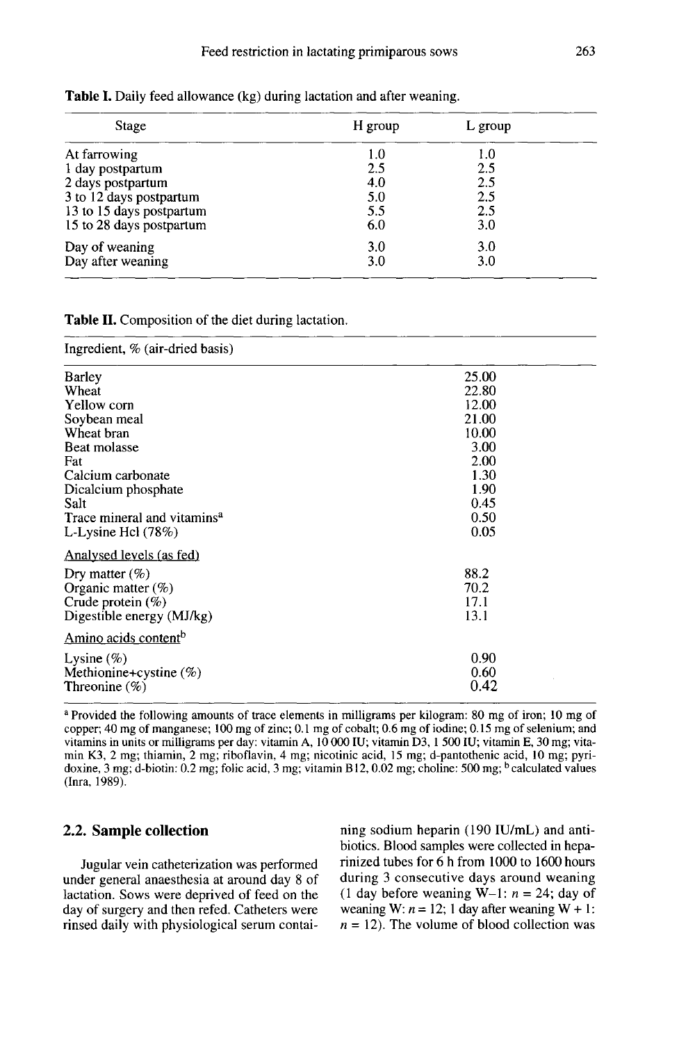| Stage                    | H group | L group |  |
|--------------------------|---------|---------|--|
| At farrowing             | 1.0     | 1.0     |  |
| 1 day postpartum         | 2.5     | 2.5     |  |
| 2 days postpartum        | 4.0     | 2.5     |  |
| 3 to 12 days postpartum  | 5.0     | 2.5     |  |
| 13 to 15 days postpartum | 5.5     | 2.5     |  |
| 15 to 28 days postpartum | 6.0     | 3.0     |  |
| Day of weaning           | 3.0     | 3.0     |  |
| Day after weaning        | 3.0     | 3.0     |  |

Table I. Daily feed allowance (kg) during lactation and after weaning.

#### Table II. Composition of the diet during lactation.

Ingredient, % (air-dried basis)

| Barley                                  | 25.00 |
|-----------------------------------------|-------|
| Wheat                                   | 22.80 |
| Yellow corn                             | 12.00 |
| Soybean meal                            | 21.00 |
| Wheat bran                              | 10.00 |
| Beat molasse                            | 3.00  |
| Fat                                     | 2.00  |
| Calcium carbonate                       | 1.30  |
| Dicalcium phosphate                     | 1.90  |
| Salt                                    | 0.45  |
| Trace mineral and vitamins <sup>a</sup> | 0.50  |
| L-Lysine Hcl $(78%)$                    | 0.05  |
| Analysed levels (as fed)                |       |
| Dry matter $(\%)$                       | 88.2  |
| Organic matter $(\%)$                   | 70.2  |
| Crude protein $(\%)$                    | 17.1  |
| Digestible energy (MJ/kg)               | 13.1  |
| Amino acids content <sup>b</sup>        |       |
| Lysine $(\%)$                           | 0.90  |
| Methionine+cystine $(\%)$               | 0.60  |
| Threonine $(\%)$                        | 0.42  |
|                                         |       |

a Provided the following amounts of trace elements in milligrams per kilogram: 80 mg of iron; 10 mg of copper; 40 mg of manganese; 100 mg of zinc; 0.1 mg of cobalt; 0.6 mg of iodine; 0.15 mg of selenium; and vitamins in units or milligrams per day: vitamin A, 10 000 IU; vitamin D3, 1 500 IU; vitamin E, 30 mg; vitamin K3, 2 mg; thiamin, 2 mg; riboflavin, 4 mg; nicotinic acid, 15 mg; d-pantothenic acid, 10 mg; pyridoxine, 3 mg; d-biotin: 0.2 mg; folic acid, 3 mg; vitamin B12, 0.02 mg; choline: 500 mg; <sup>b</sup> calculated values (Inra, 1989).

# 2.2. Sample collection

Jugular vein catheterization was performed under general anaesthesia at around day 8 of lactation. Sows were deprived of feed on the day of surgery and then refed. Catheters were rinsed daily with physiological serum contai-

ning sodium heparin (190 IU/mL) and antibiotics. Blood samples were collected in heparinized tubes for 6 h from 1000 to 1600 hours during 3 consecutive days around weaning (1 day before weaning W-1:  $n = 24$ ; day of weaning W:  $n = 12$ ; 1 day after weaning W + 1:  $n = 12$ ). The volume of blood collection was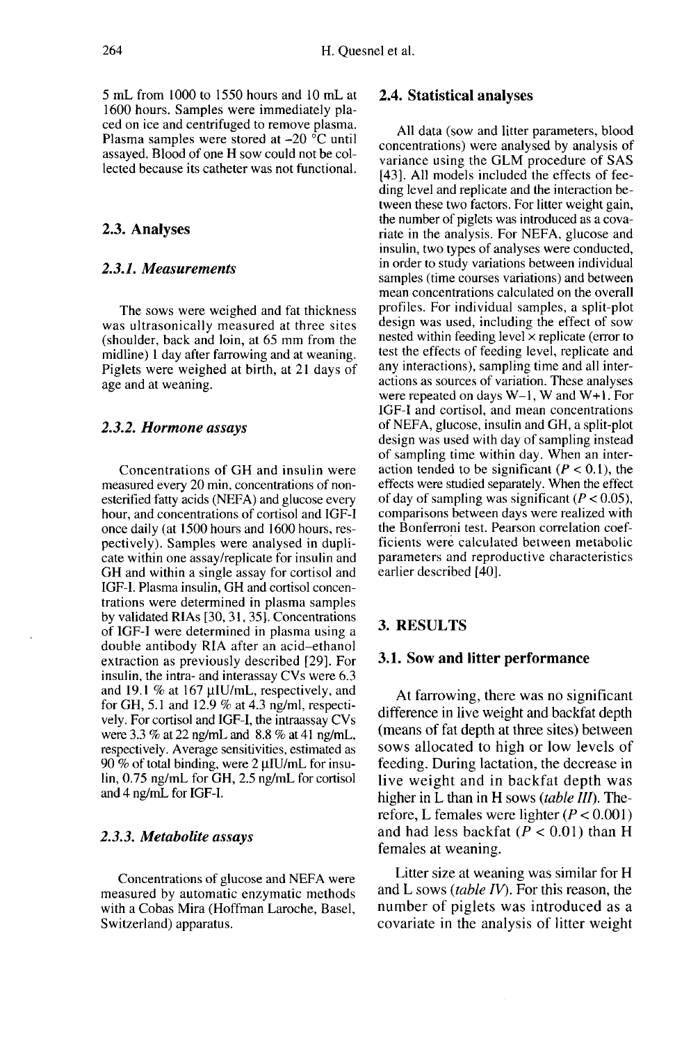5 mL from 1000 to 1550 hours and 10 mL at 1600 hours. Samples were immediately placed on ice and centrifuged to remove plasma. Plasma samples were stored at  $-20$  °C until assayed. Blood of one H sow could not be collected because its catheter was not functional.

## 2.3. Analyses

## 2.3.1. Measurements

The sows were weighed and fat thickness was ultrasonically measured at three sites (shoulder, back and loin, at 65 mm from the midline) 1 day after farrowing and at weaning. Piglets were weighed at birth, at 21 days of age and at weaning.

#### 2.3.2. Hormone assays

Concentrations of GH and insulin were measured every 20 min, concentrations of nonesterified fatty acids (NEFA) and glucose every hour, and concentrations of cortisol and IGF-I once daily (at 1500 hours and 1600 hours, respectively). Samples were analysed in dupli cate within one assay/replicate for insulin and GH and within a single assay for cortisol and IGF-1. Plasma insulin, GH and cortisol concentrations were determined in plasma samples by validated RIAs [30, 31, 35]. Concentrations of IGF-I were determined in plasma using a double antibody RIA after an acid-ethanol extraction as previously described [29]. For insulin, the intra- and interassay CVs were 6.3 and 19.1 % at 167 µIU/mL, respectively, and for GH, 5.1 and 12.9 % at 4.3 ng/ml, respectively. For cortisol and IGF-1, the intraassay CVs were 3.3 % at 22 ng/mL and 8.8 % at 41 ng/mL, respectively. Average sensitivities, estimated as 90 % of total binding, were  $2 \mu I U/mL$  for insulin, 0.75 ng/mL for GH, 2.5 ng/mL for cortisol and 4 ng/mL for IGF-1.

#### 2.3.3. Metabolite assays

Concentrations of glucose and NEFA were measured by automatic enzymatic methods with a Cobas Mira (Hoffman Laroche, Basel, Switzerland) apparatus.

## 2.4. Statistical analyses

All data (sow and litter parameters, blood concentrations) were analysed by analysis of variance using the GLM procedure of SAS [43]. All models included the effects of feeding level and replicate and the interaction between these two factors. For litter weight gain, the number of piglets was introduced as a covariate in the analysis. For NEFA, glucose and insulin, two types of analyses were conducted, in order to study variations between individual samples (time courses variations) and between mean concentrations calculated on the overall profiles. For individual samples, a split-plot design was used, including the effect of sow nested within feeding level  $\times$  replicate (error to test the effects of feeding level, replicate and any interactions), sampling time and all interwere repeated on days  $W-1$ , W and  $W+1$ . For IGF-I and cortisol, and mean concentrations of NEFA, glucose, insulin and GH, a split-plot design was used with day of sampling instead of sampling time within day. When an interaction tended to be significant ( $P < 0.1$ ), the effects were studied separately. When the effect of day of sampling was significant  $(P < 0.05)$ , comparisons between days were realized with the Bonferroni test. Pearson correlation coefficients were calculated between metabolic parameters and reproductive characteristics earlier described [40].

#### 3. RESULTS

## 3.1. Sow and litter performance

At farrowing, there was no significant difference in live weight and backfat depth (means of fat depth at three sites) between sows allocated to high or low levels of feeding. During lactation, the decrease in live weight and in backfat depth was higher in L than in H sows (table  $III$ ). Therefore, L females were lighter  $(P < 0.001)$ and had less backfat  $(P < 0.01)$  than H females at weaning.

Litter size at weaning was similar for H and L sows (table  $IV$ ). For this reason, the number of piglets was introduced as a covariate in the analysis of litter weight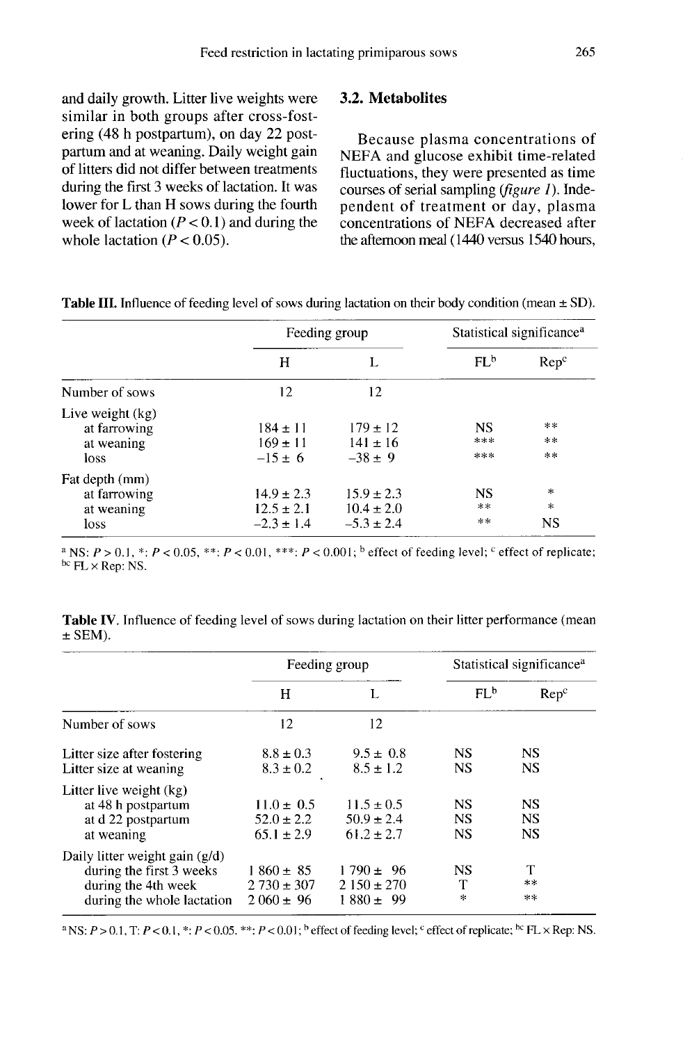and daily growth. Litter live weights were similar in both groups after cross-fostering (48 h postpartum), on day 22 postpartum and at weaning. Daily weight gain of litters did not differ between treatments during the first 3 weeks of lactation. It was lower for L than H sows during the fourth week of lactation  $(P < 0.1)$  and during the whole lactation  $(P < 0.05)$ .

## 3.2. Metabolites

Because plasma concentrations of NEFA and glucose exhibit time-related fluctuations, they were presented as time courses of serial sampling (figure 1). Independent of treatment or day, plasma concentrations of NEFA decreased after the afternoon meal (1440 versus 1540 hours,

|                                                        |                                                    | Feeding group                                      | Statistical significance <sup>a</sup> |                                  |  |
|--------------------------------------------------------|----------------------------------------------------|----------------------------------------------------|---------------------------------------|----------------------------------|--|
|                                                        | Н                                                  |                                                    | FL <sup>b</sup>                       | Rep <sup>c</sup>                 |  |
| Number of sows                                         | 12                                                 | 12                                                 |                                       |                                  |  |
| Live weight (kg)<br>at farrowing<br>at weaning<br>loss | $184 \pm 11$<br>$169 \pm 11$<br>$-15 \pm 6$        | $179 + 12$<br>$141 \pm 16$<br>$-38 \pm 9$          | <b>NS</b><br>***<br>***               | $* *$<br>$\star$ $\star$<br>$**$ |  |
| Fat depth (mm)<br>at farrowing<br>at weaning<br>loss   | $14.9 \pm 2.3$<br>$12.5 \pm 2.1$<br>$-2.3 \pm 1.4$ | $15.9 \pm 2.3$<br>$10.4 \pm 2.0$<br>$-5.3 \pm 2.4$ | <b>NS</b><br>**<br>**                 | *<br>$\ast$<br>NS                |  |

**Table III.** Influence of feeding level of sows during lactation on their body condition (mean  $\pm$  SD).

<sup>a</sup> NS:  $P > 0.1$ , \*:  $P < 0.05$ , \*\*;  $P < 0.01$ , \*\*\*;  $P < 0.001$ ; b effect of feeding level; <sup>c</sup> effect of replicate; bc  $FL \times Rep$ : NS.

Table IV. Influence of feeding level of sows during lactation on their litter performance (mean  $\pm$  SEM).

|                                                                                                                   |                                                    | Feeding group                                    | Statistical significance <sup>a</sup> |                                     |  |
|-------------------------------------------------------------------------------------------------------------------|----------------------------------------------------|--------------------------------------------------|---------------------------------------|-------------------------------------|--|
|                                                                                                                   | н                                                  | L                                                | FL <sup>b</sup>                       | $\rm Rep^c$                         |  |
| Number of sows                                                                                                    | 12                                                 | 12                                               |                                       |                                     |  |
| Litter size after fostering<br>Litter size at weaning                                                             | $8.8 \pm 0.3$<br>$8.3 \pm 0.2$                     | $9.5 \pm 0.8$<br>$8.5 \pm 1.2$                   | <b>NS</b><br><b>NS</b>                | <b>NS</b><br><b>NS</b>              |  |
| Litter live weight (kg)<br>at 48 h postpartum<br>at d 22 postpartum<br>at weaning                                 | $11.0 \pm 0.5$<br>$52.0 \pm 2.2$<br>$65.1 \pm 2.9$ | $11.5 + 0.5$<br>$50.9 \pm 2.4$<br>$61.2 \pm 2.7$ | <b>NS</b><br><b>NS</b><br><b>NS</b>   | <b>NS</b><br><b>NS</b><br><b>NS</b> |  |
| Daily litter weight gain $(g/d)$<br>during the first 3 weeks<br>during the 4th week<br>during the whole lactation | $1860 \pm 85$<br>$2730 \pm 307$<br>$2060 \pm 96$   | $1790 \pm 96$<br>$2150 \pm 270$<br>$1880 \pm 99$ | <b>NS</b><br>T<br>$\infty$            | T<br>**<br>**                       |  |

<sup>a</sup> NS:  $P > 0.1$ , T:  $P < 0.1$ , \*:  $P < 0.05$ . \*\*:  $P < 0.01$ ; <sup>b</sup> effect of feeding level; <sup>c</sup> effect of replicate; <sup>hc</sup> FL × Rep: NS.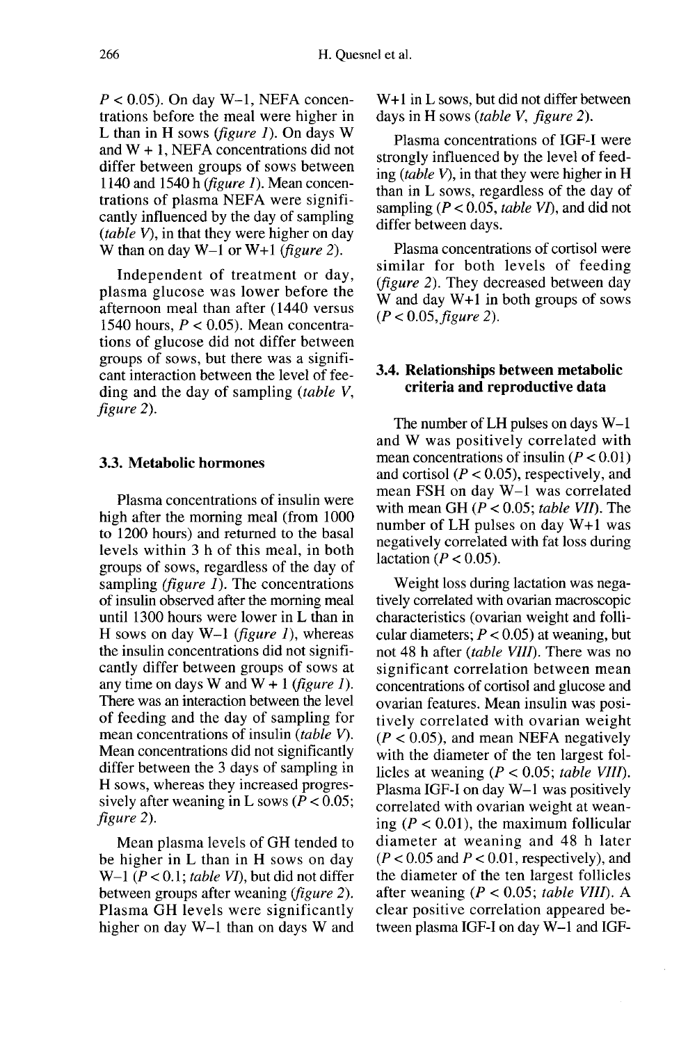$P < 0.05$ ). On day W-1, NEFA concentrations before the meal were higher in L than in H sows (figure  $I$ ). On days W and W + 1, NEFA concentrations did not differ between groups of sows between 1140 and 1540 h (*figure 1*). Mean concentrations of plasma NEFA were significantly influenced by the day of sampling (table  $V$ ), in that they were higher on day W than on day  $W-1$  or  $W+1$  (figure 2).

Independent of treatment or day, plasma glucose was lower before the afternoon meal than after (1440 versus 1540 hours,  $P < 0.05$ ). Mean concentrations of glucose did not differ between groups of sows, but there was a signifi cant interaction between the level of feeding and the day of sampling (table V, figure 2).

# 3.3. Metabolic hormones

Plasma concentrations of insulin were high after the morning meal (from 1000 to 1200 hours) and returned to the basal levels within 3 h of this meal, in both groups of sows, regardless of the day of sampling *(figure 1)*. The concentrations of insulin observed after the morning meal until 1300 hours were lower in L than in H sows on day  $W-1$  (figure 1), whereas the insulin concentrations did not significantly differ between groups of sows at any time on days W and  $W + 1$  (figure 1). There was an interaction between the level of feeding and the day of sampling for mean concentrations of insulin (table V). Mean concentrations did not significantly differ between the 3 days of sampling in H sows, whereas they increased progressively after weaning in L sows ( $P < 0.05$ ; figure 2).

Mean plasma levels of GH tended to be higher in L than in H sows on day W-1 ( $P < 0.1$ ; table VI), but did not differ between groups after weaning (figure 2). Plasma GH levels were significantly higher on day W-1 than on days W and

W+1 in L sows, but did not differ between days in H sows (table V, figure 2).

Plasma concentrations of IGF-I were strongly influenced by the level of feeding (table  $V$ ), in that they were higher in H than in L sows, regardless of the day of sampling ( $P < 0.05$ , table VI), and did not differ between days.

Plasma concentrations of cortisol were similar for both levels of feeding (figure 2). They decreased between day W and day W+1 in both groups of sows  $(P < 0.05, figure 2)$ .

# 3.4. Relationships between metabolic criteria and reproductive data

The number of  $LH$  pulses on days  $W-1$ and W was positively correlated with mean concentrations of insulin  $(P < 0.01)$ and cortisol ( $P < 0.05$ ), respectively, and mean FSH on day W-1 was correlated with mean GH ( $P < 0.05$ ; table VII). The number of LH pulses on day W+1 was negatively correlated with fat loss during lactation ( $P < 0.05$ ).

Weight loss during lactation was negatively correlated with ovarian macroscopic characteristics (ovarian weight and follicular diameters;  $P < 0.05$ ) at weaning, but not 48 h after *(table VIII)*. There was no significant correlation between mean concentrations of cortisol and glucose and ovarian features. Mean insulin was positively correlated with ovarian weight  $(P < 0.05)$ , and mean NEFA negatively with the diameter of the ten largest follicles at weaning ( $P < 0.05$ ; table VIII). Plasma IGF-I on day W-1 was positively correlated with ovarian weight at weaning ( $P < 0.01$ ), the maximum follicular diameter at weaning and 48 h later  $(P < 0.05$  and  $P < 0.01$ , respectively), and the diameter of the ten largest follicles after weaning ( $P < 0.05$ ; table VIII). A clear positive correlation appeared between plasma IGF-I on day W-1 and IGF-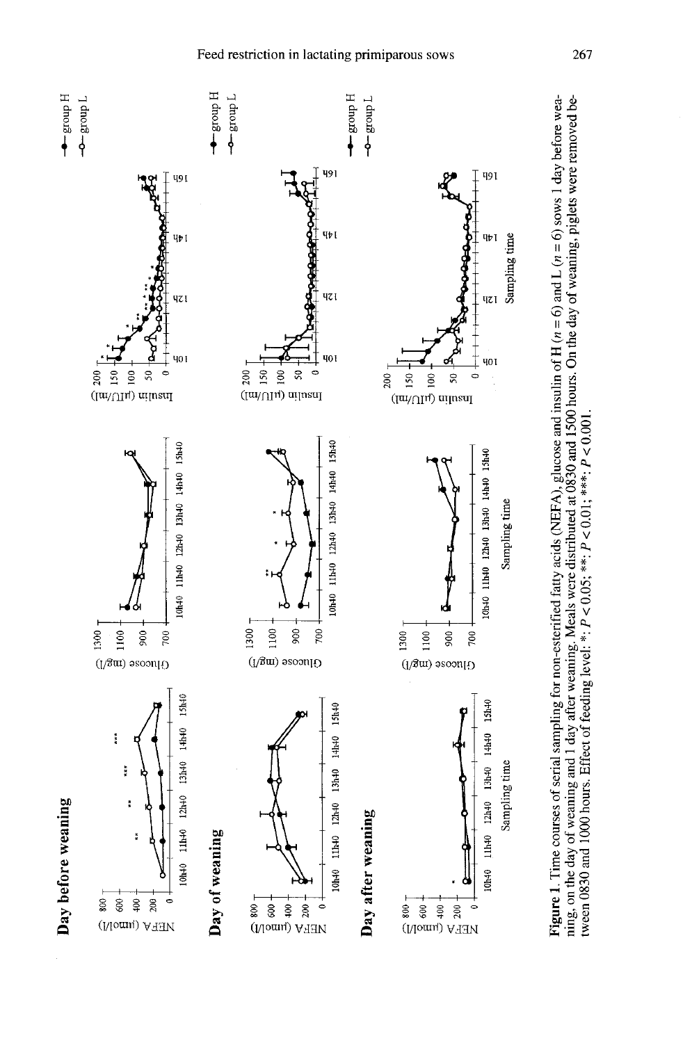





 $\blacksquare$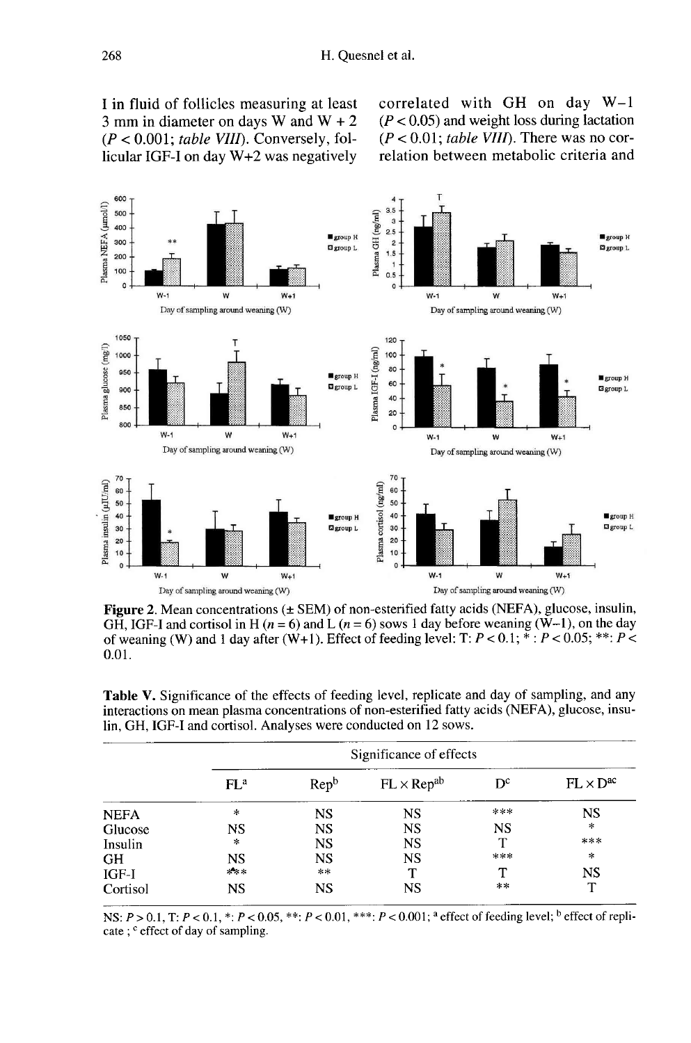I in fluid of follicles measuring at least 3 mm in diameter on days W and  $W + 2$  $(P < 0.001$ ; table VIII). Conversely, follicular IGF-I on day W+2 was negatively correlated with GH on day W-1  $(P < 0.05)$  and weight loss during lactation  $(P < 0.01$ : table VIII). There was no correlation between metabolic criteria and



**Figure 2.** Mean concentrations  $(\pm$  SEM) of non-esterified fatty acids (NEFA), glucose, insulin, GH, IGF-I and cortisol in H ( $n = 6$ ) and L ( $n = 6$ ) sows 1 day before weaning ( $\dot{W}$ -1), on the day of weaning (W) and 1 day after (W+1). Effect of feeding level: T:  $P < 0.1$ ;  $* : P < 0.05$ ;  $** : P <$  $0.01.$ 

Table V. Significance of the effects of feeding level, replicate and day of sampling, and any interactions on mean plasma concentrations of non-esterified fatty acids (NEFA), glucose, insulin, GH, IGF-I and cortisol. Analyses were conducted on 12 sows.

|             | Significance of effects |                  |                      |           |                    |  |  |  |  |
|-------------|-------------------------|------------------|----------------------|-----------|--------------------|--|--|--|--|
|             | $FL^a$                  | Rep <sup>b</sup> | $FL \times Rep^{ab}$ | $D^c$     | $FL \times D^{ac}$ |  |  |  |  |
| <b>NEFA</b> | *                       | <b>NS</b>        | <b>NS</b>            | ***       | <b>NS</b>          |  |  |  |  |
| Glucose     | NS                      | <b>NS</b>        | <b>NS</b>            | <b>NS</b> | $\star$            |  |  |  |  |
| Insulin     | $\star$                 | <b>NS</b>        | <b>NS</b>            |           | ***                |  |  |  |  |
| GH          | NS                      | <b>NS</b>        | <b>NS</b>            | ***       | $\star$            |  |  |  |  |
| IGF-I       | $*$ $*$                 | $***$            |                      |           | <b>NS</b>          |  |  |  |  |
| Cortisol    | <b>NS</b>               | <b>NS</b>        | NS                   | **        | T                  |  |  |  |  |

NS:  $P > 0.1$ , T:  $P < 0.1$ , \*:  $P < 0.05$ , \*\*:  $P < 0.01$ , \*\*\*:  $P < 0.001$ ; a effect of feeding level; b effect of replicate; <sup>c</sup> effect of day of sampling.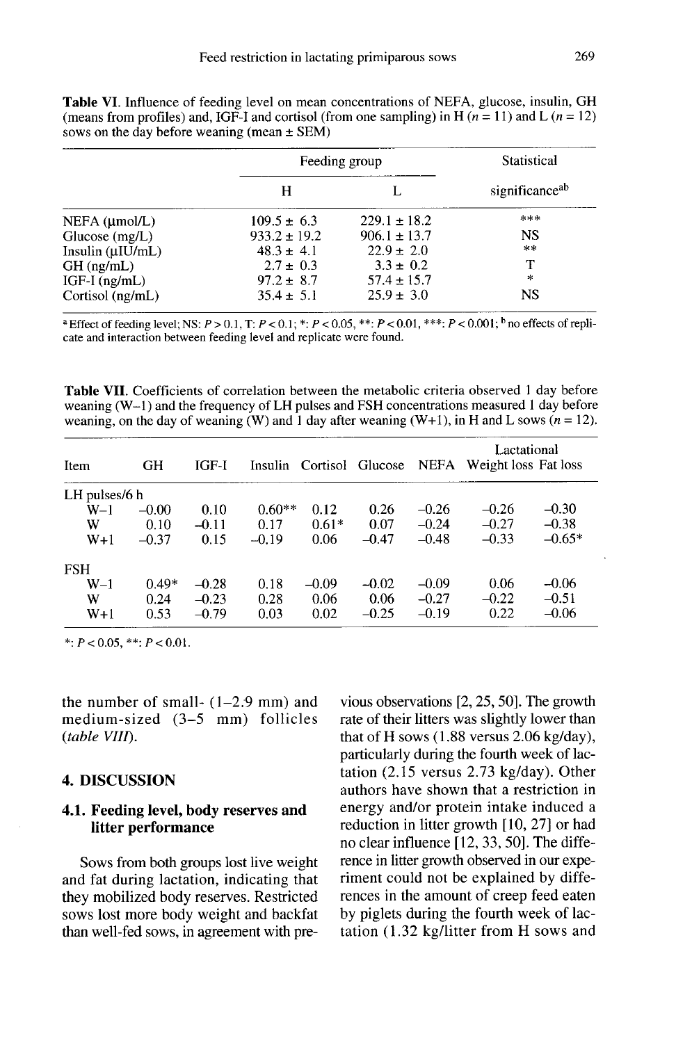Table VI. Influence of feeding level on mean concentrations of NEFA, glucose, insulin, GH (means from profiles) and, IGF-I and cortisol (from one sampling) in H  $(n = 11)$  and L  $(n = 12)$ sows on the day before weaning (mean  $\pm$  SEM)

|                        | Feeding group    | Statistical      |                |
|------------------------|------------------|------------------|----------------|
|                        | н                |                  | significanceab |
| $NEFA$ ( $\mu$ mol/L)  | $109.5 \pm 6.3$  | $229.1 \pm 18.2$ | ***            |
| Glucose $(mg/L)$       | $933.2 \pm 19.2$ | $906.1 \pm 13.7$ | NS             |
| Insulin $(\mu I U/mL)$ | $48.3 \pm 4.1$   | $22.9 \pm 2.0$   | $* *$          |
| $GH$ (ng/mL)           | $2.7 \pm 0.3$    | $3.3 \pm 0.2$    |                |
| $IGF-I$ (ng/mL)        | $97.2 \pm 8.7$   | $57.4 \pm 15.7$  | $\star$        |
| Cortisol (ng/mL)       | $35.4 \pm 5.1$   | $25.9 \pm 3.0$   | NS             |

<sup>a</sup> Effect of feeding level; NS:  $P > 0.1$ , T:  $P < 0.1$ ; \*:  $P < 0.05$ , \*\*:  $P < 0.01$ , \*\*\*:  $P < 0.001$ ; <sup>b</sup> no effects of replicate and interaction between feeding level and replicate were found.

Table VII. Coefficients of correlation between the metabolic criteria observed 1 day before weaning  $(W-1)$  and the frequency of LH pulses and FSH concentrations measured 1 day before weaning, on the day of weaning (W) and 1 day after weaning (W+1), in H and L sows  $(n = 12)$ .

| Item          | GH      | IGF-I   |          | Insulin Cortisol | Glucose | <b>NEFA</b> | Lactational<br>Weight loss Fat loss |          |
|---------------|---------|---------|----------|------------------|---------|-------------|-------------------------------------|----------|
| LH pulses/6 h |         |         |          |                  |         |             |                                     |          |
| W–1           | $-0.00$ | 0.10    | $0.60**$ | 0.12             | 0.26    | $-0.26$     | $-0.26$                             | $-0.30$  |
| w             | 0.10    | $-0.11$ | 0.17     | $0.61*$          | 0.07    | $-0.24$     | $-0.27$                             | $-0.38$  |
| $W+1$         | $-0.37$ | 0.15    | $-0.19$  | 0.06             | $-0.47$ | $-0.48$     | $-0.33$                             | $-0.65*$ |
| <b>FSH</b>    |         |         |          |                  |         |             |                                     |          |
| $W-1$         | $0.49*$ | $-0.28$ | 0.18     | $-0.09$          | $-0.02$ | $-0.09$     | 0.06                                | $-0.06$  |
| W             | 0.24    | $-0.23$ | 0.28     | 0.06             | 0.06    | $-0.27$     | $-0.22$                             | $-0.51$  |
| $W+1$         | 0.53    | $-0.79$ | 0.03     | 0.02             | $-0.25$ | $-0.19$     | 0.22                                | $-0.06$  |

\*:  $P < 0.05$ , \*\*:  $P < 0.01$ .

the number of small- $(1-2.9$  mm) and medium-sized (3-5 mm) follicles (table VIII).

## 4. DISCUSSION

## 4.1. Feeding level, body reserves and litter performance

Sows from both groups lost live weight and fat during lactation, indicating that they mobilized body reserves. Restricted sows lost more body weight and backfat than well-fed sows, in agreement with previous observations [2, 25, 50]. The growth rate of their litters was slightly lower than that of H sows (1.88 versus 2.06 kg/day), particularly during the fourth week of lactation (2.15 versus 2.73 kg/day). Other authors have shown that a restriction in energy and/or protein intake induced a reduction in litter growth [10, 27] or had no clear influence [12, 33, 50]. The difference in litter growth observed in our experiment could not be explained by differences in the amount of creep feed eaten by piglets during the fourth week of lactation (1.32 kg/litter from H sows and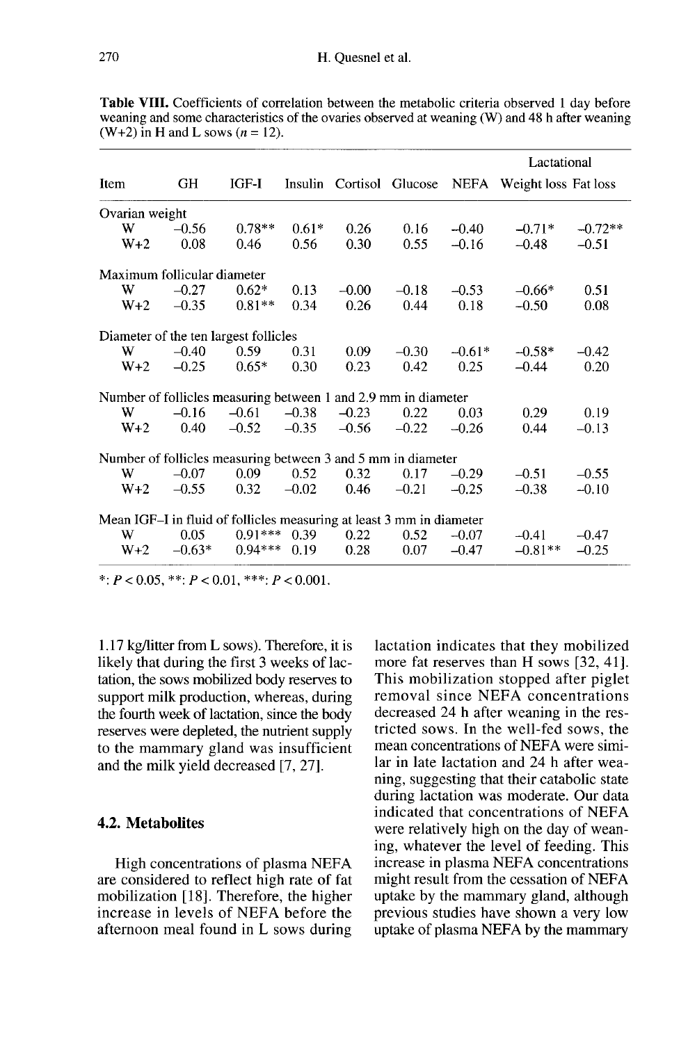Table VIII. Coefficients of correlation between the metabolic criteria observed 1 day before weaning and some characteristics of the ovaries observed at weaning (W) and 48 h after weaning  $(W+2)$  in H and L sows  $(n = 12)$ .

|                                                                      |          |           |         |                          | Lactational |          |                           |           |
|----------------------------------------------------------------------|----------|-----------|---------|--------------------------|-------------|----------|---------------------------|-----------|
| Item                                                                 | GH       | IGF-I     |         | Insulin Cortisol Glucose |             |          | NEFA Weight loss Fat loss |           |
| Ovarian weight                                                       |          |           |         |                          |             |          |                           |           |
| W                                                                    | $-0.56$  | $0.78**$  | $0.61*$ | 0.26                     | 0.16        | $-0.40$  | $-0.71*$                  | $-0.72**$ |
| $W+2$                                                                | 0.08     | 0.46      | 0.56    | 0.30                     | 0.55        | $-0.16$  | $-0.48$                   | $-0.51$   |
| Maximum follicular diameter                                          |          |           |         |                          |             |          |                           |           |
| W                                                                    | $-0.27$  | $0.62*$   | 0.13    | $-0.00$                  | $-0.18$     | $-0.53$  | $-0.66*$                  | 0.51      |
| $W+2$                                                                | $-0.35$  | $0.81**$  | 0.34    | 0.26                     | 0.44        | 0.18     | $-0.50$                   | 0.08      |
| Diameter of the ten largest follicles                                |          |           |         |                          |             |          |                           |           |
| W                                                                    | $-0.40$  | 0.59      | 0.31    | 0.09                     | $-0.30$     | $-0.61*$ | $-0.58*$                  | $-0.42$   |
| $W+2$                                                                | $-0.25$  | $0.65*$   | 0.30    | 0.23                     | 0.42        | 0.25     | $-0.44$                   | 0.20      |
| Number of follicles measuring between 1 and 2.9 mm in diameter       |          |           |         |                          |             |          |                           |           |
| W                                                                    | $-0.16$  | $-0.61$   | $-0.38$ | $-0.23$                  | 0.22        | 0.03     | 0.29                      | 0.19      |
| $W+2$                                                                | 0.40     | $-0.52$   | $-0.35$ | $-0.56$                  | $-0.22$     | $-0.26$  | 0.44                      | $-0.13$   |
| Number of follicles measuring between 3 and 5 mm in diameter         |          |           |         |                          |             |          |                           |           |
| W                                                                    | $-0.07$  | 0.09      | 0.52    | 0.32                     | 0.17        | $-0.29$  | $-0.51$                   | $-0.55$   |
| $W+2$                                                                | $-0.55$  | 0.32      | $-0.02$ | 0.46                     | $-0.21$     | $-0.25$  | $-0.38$                   | $-0.10$   |
| Mean IGF-I in fluid of follicles measuring at least 3 mm in diameter |          |           |         |                          |             |          |                           |           |
| W                                                                    | 0.05     | $0.91***$ | 0.39    | 0.22                     | 0.52        | $-0.07$  | $-0.41$                   | $-0.47$   |
| $W+2$                                                                | $-0.63*$ | $0.94***$ | 0.19    | 0.28                     | 0.07        | $-0.47$  | $-0.81**$                 | $-0.25$   |

\*:  $P < 0.05$ , \*\*:  $P < 0.01$ , \*\*\*:  $P < 0.001$ .

1.17 kg/litter from L sows). Therefore, it is likely that during the first 3 weeks of lactation, the sows mobilized body reserves to support milk production, whereas, during the fourth week of lactation, since the body reserves were depleted, the nutrient supply to the mammary gland was insufficient and the milk yield decreased [7, 27].

# 4.2. Metabolites

High concentrations of plasma NEFA are considered to reflect high rate of fat mobilization [18]. Therefore, the higher increase in levels of NEFA before the afternoon meal found in L sows during lactation indicates that they mobilized more fat reserves than H sows [32, 41]. This mobilization stopped after piglet removal since NEFA concentrations decreased 24 h after weaning in the restricted sows. In the well-fed sows, the mean concentrations of NEFA were similar in late lactation and 24 h after weaning, suggesting that their catabolic state during lactation was moderate. Our data indicated that concentrations of NEFA were relatively high on the day of weaning, whatever the level of feeding. This increase in plasma NEFA concentrations might result from the cessation of NEFA uptake by the mammary gland, although previous studies have shown a very low uptake of plasma NEFA by the mammary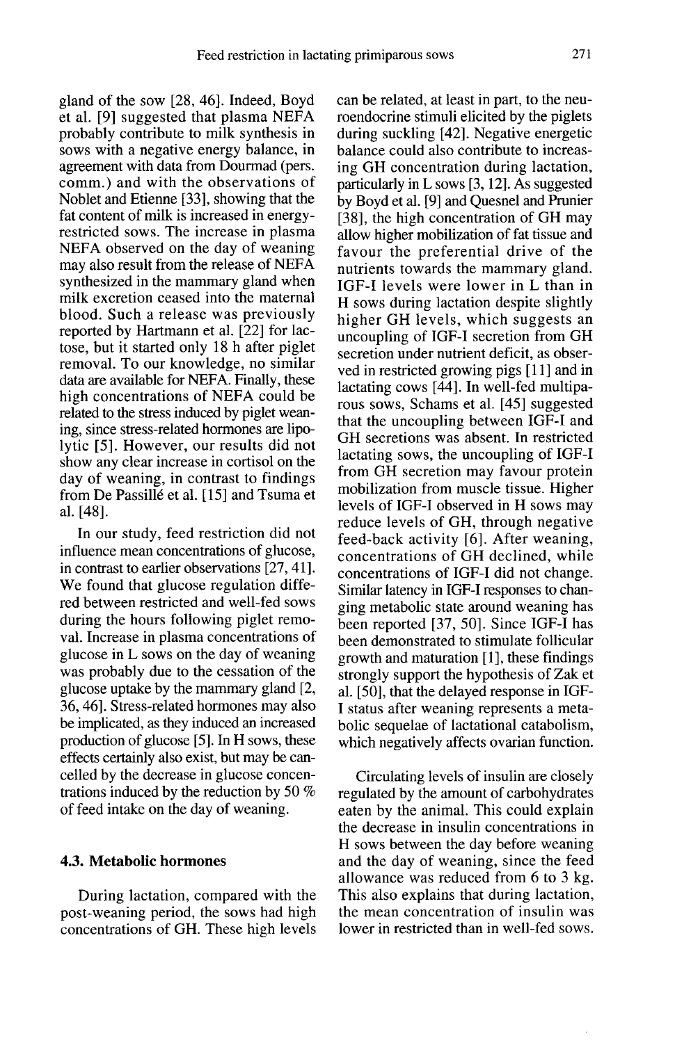gland of the sow [28, 46]. Indeed, Boyd et al. [9] suggested that plasma NEFA probably contribute to milk synthesis in sows with a negative energy balance, in agreement with data from Dourmad (pers. comm.) and with the observations of Noblet and Etienne [33], showing that the fat content of milk is increased in energyrestricted sows. The increase in plasma NEFA observed on the day of weaning may also result from the release of NEFA synthesized in the mammary gland when milk excretion ceased into the maternal blood. Such a release was previously reported by Hartmann et al. [22] for lactose, but it started only 18 h after piglet removal. To our knowledge, no similar data are available for NEFA. Finally, these high concentrations of NEFA could be related to the stress induced by piglet weaning, since stress-related hormones are lipolytic [5]. However, our results did not show any clear increase in cortisol on the day of weaning, in contrast to findings from De Passille et al. [15] and Tsuma et al. [48].

In our study, feed restriction did not influence mean concentrations of glucose, in contrast to earlier observations [27, 41]. We found that glucose regulation differed between restricted and well-fed sows during the hours following piglet removal. Increase in plasma concentrations of glucose in L sows on the day of weaning was probably due to the cessation of the glucose uptake by the mammary gland [2, 36, 46]. Stress-related hormones may also be implicated, as they induced an increased production of glucose [5]. In H sows, these effects certainly also exist, but may be cancelled by the decrease in glucose concentrations induced by the reduction by 50 % of feed intake on the day of weaning.

# 4.3. Metabolic hormones

During lactation, compared with the post-weaning period, the sows had high concentrations of GH. These high levels can be related, at least in part, to the neuroendocrine stimuli elicited by the piglets during suckling [42]. Negative energetic balance could also contribute to increasing GH concentration during lactation, particularly in L sows [3, 12]. As suggested by Boyd et al. [9] and Quesnel and Prunier [38], the high concentration of GH may allow higher mobilization of fat tissue and favour the preferential drive of the nutrients towards the mammary gland. IGF-I levels were lower in L than in H sows during lactation despite slightly higher GH levels, which suggests an uncoupling of IGF-I secretion from GH secretion under nutrient deficit, as observed in restricted growing pigs [11] and in lactating cows [44]. In well-fed multipa rous sows, Schams et al. [45] suggested that the uncoupling between IGF-I and GH secretions was absent. In restricted lactating sows, the uncoupling of IGF-I from GH secretion may favour protein mobilization from muscle tissue. Higher levels of IGF-I observed in H sows may reduce levels of GH, through negative feed-back activity [6]. After weaning, concentrations of GH declined, while concentrations of IGF-I did not change. Similar latency in IGF-I responses to changing metabolic state around weaning has been reported [37, 50]. Since IGF-I has been demonstrated to stimulate follicular growth and maturation [1], these findings strongly support the hypothesis of Zak et al. [50], that the delayed response in IGF-I status after weaning represents a metabolic sequelae of lactational catabolism, which negatively affects ovarian function.

Circulating levels of insulin are closely regulated by the amount of carbohydrates eaten by the animal. This could explain the decrease in insulin concentrations in H sows between the day before weaning and the day of weaning, since the feed allowance was reduced from 6 to 3 kg. This also explains that during lactation, the mean concentration of insulin was lower in restricted than in well-fed sows.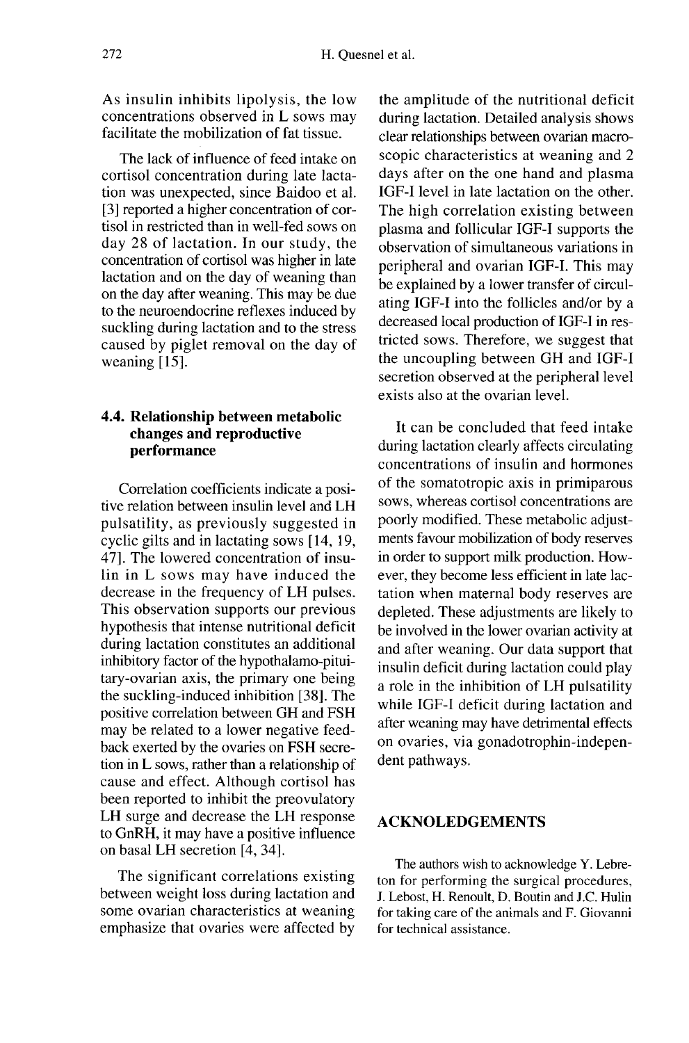As insulin inhibits lipolysis, the low concentrations observed in L sows may facilitate the mobilization of fat tissue.

The lack of influence of feed intake on cortisol concentration during late lactation was unexpected, since Baidoo et al. [3] reported a higher concentration of cortisol in restricted than in well-fed sows on day 28 of lactation. In our study, the concentration of cortisol was higher in late lactation and on the day of weaning than on the day after weaning. This may be due to the neuroendocrine reflexes induced by suckling during lactation and to the stress caused by piglet removal on the day of weaning [15].

# 4.4. Relationship between metabolic changes and reproductive performance

Correlation coefficients indicate a positive relation between insulin level and LH pulsatility, as previously suggested in cyclic gilts and in lactating sows [14, 19, 47]. The lowered concentration of insulin in L sows may have induced the decrease in the frequency of LH pulses. This observation supports our previous hypothesis that intense nutritional deficit during lactation constitutes an additional inhibitory factor of the hypothalamo-pituitary-ovarian axis, the primary one being the suckling-induced inhibition [38]. The positive correlation between GH and FSH may be related to a lower negative feedback exerted by the ovaries on FSH secretion in L sows, rather than a relationship of cause and effect. Although cortisol has been reported to inhibit the preovulatory LH surge and decrease the LH response to GnRH, it may have a positive influence on basal LH secretion [4, 34].

The significant correlations existing between weight loss during lactation and some ovarian characteristics at weaning emphasize that ovaries were affected by

the amplitude of the nutritional deficit during lactation. Detailed analysis shows clear relationships between ovarian macroscopic characteristics at weaning and 2 days after on the one hand and plasma IGF-I level in late lactation on the other. The high correlation existing between plasma and follicular IGF-I supports the observation of simultaneous variations in peripheral and ovarian IGF-1. This may be explained by a lower transfer of circulating IGF-I into the follicles and/or by a decreased local production of IGF-I in restricted sows. Therefore, we suggest that the uncoupling between GH and IGF-I secretion observed at the peripheral level exists also at the ovarian level.

It can be concluded that feed intake during lactation clearly affects circulating concentrations of insulin and hormones of the somatotropic axis in primiparous sows, whereas cortisol concentrations are poorly modified. These metabolic adjust ments favour mobilization of body reserves in order to support milk production. However, they become less efficient in late lactation when maternal body reserves are depleted. These adjustments are likely to be involved in the lower ovarian activity at and after weaning. Our data support that a role in the inhibition of LH pulsatility while IGF-I deficit during lactation and after weaning may have detrimental effects on ovaries, via gonadotrophin-independent pathways.

# ACKNOLEDGEMENTS

The authors wish to acknowledge Y. Lebreton for performing the surgical procedures, J. Lebost, H. Renoult, D. Boutin and J.C. Hulin for taking care of the animals and F. Giovanni for technical assistance.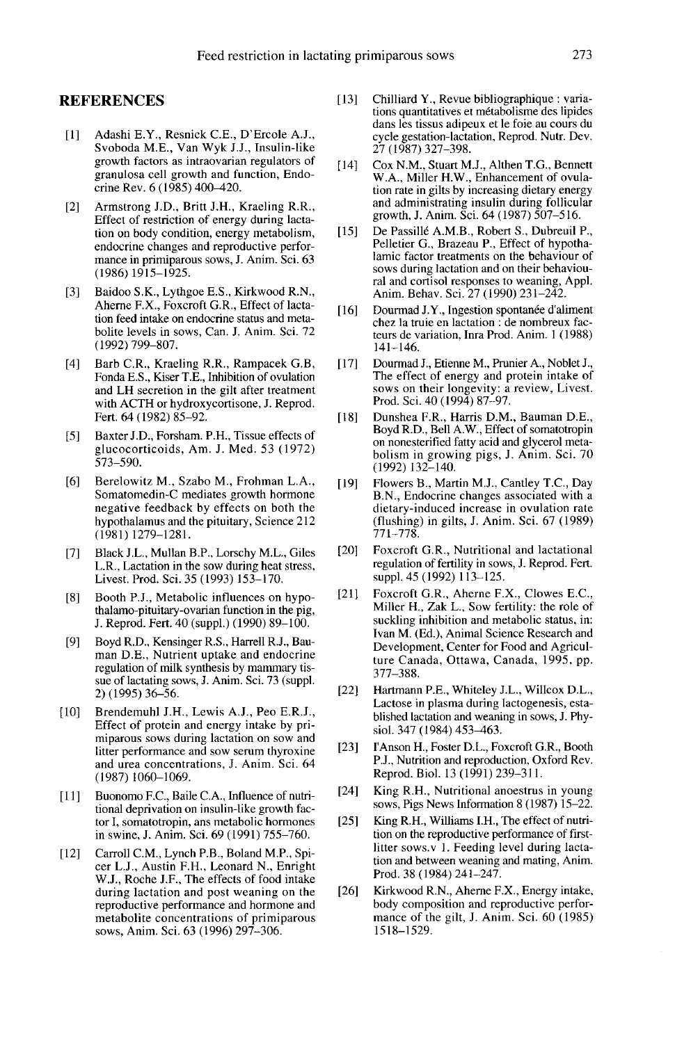### REFERENCES

- [1] Adashi E.Y., Resnick C.E., D'Ercole A.J., Svoboda M.E., Van Wyk J.J., Insulin-like growth factors as intraovarian regulators of granulosa cell growth and function, Endocrine Rev. 6 (1985) 400-420.
- [2] Armstrong J.D., Britt J.H., Kraeling R.R., Effect of restriction of energy during lactation on body condition, energy metabolism, endocrine changes and reproductive perfor mance in primiparous sows, J. Anim. Sci. 63 (1986)1915-1925.
- [3] Baidoo S.K., Lythgoe E.S., Kirkwood R.N., Aherne F.X., Foxcroft G.R., Effect of lactation feed intake on endocrine status and metabolite levels in sows, Can. J. Anim. Sci. 72 (1992) 799-807.
- [4] Barb C.R., Kraeling R.R., Rampacek G.B, Fonda E.S., Kiser T.E., Inhibition of ovulation and LH secretion in the gilt after treatment with ACTH or hydroxycortisone, J. Reprod. Fert. 64 (1982) 85-92.
- [5] Baxter J.D., Forsham. P.H., Tissue effects of glucocorticoids, Am. J. Med. 53 (1972) 573-590.
- [6] Berelowitz M., Szabo M., Frohman L.A., Somatomedin-C mediates growth hormone negative feedback by effects on both the hypothalamus and the pituitary, Science 212  $(1981)1279 - 1281.$
- [7] Black J.L., Mullan B.P., Lorschy M.L., Giles L.R., Lactation in the sow during heat stress, Livest. Prod. Sci. 35 (1993) 153-170.
- [8] Booth P.J., Metabolic influences on hypothalamo-pituitary-ovarian function in the pig, J. Reprod. Fert. 40 (suppl.) (1990) 89-100.
- [9] Boyd R.D., Kensinger R.S., Harrell R.J., Bauman D.E., Nutrient uptake and endocrine regulation of milk synthesis by mammary tissue of lactating sows, J. Anim. Sci. 73 (suppl. 2) (1995) 36-56.
- [10] Brendemuhl J.H., Lewis A.J., Peo E.R.J., Effect of protein and energy intake by primiparous sows during lactation on sow and<br>litter performance and sow serum thyroxine and urea concentrations, J. Anim. Sci. 64 (1987) 1060-1069.
- [11] Buonomo F.C., Baile C.A., Influence of nutritional deprivation on insulin-like growth factor I, somatotropin, ans metabolic hormones in swine, J. Anim. Sci. 69 (1991) 755-760.
- [12] Carroll C.M., Lynch P.B., Boland M.P., Spicer L.J., Austin F.H., Leonard N., Enright W.J., Roche J.F., The effects of food intake during lactation and post weaning on the reproductive performance and hormone and metabolite concentrations of primiparous sows, Anim. Sci. 63 (1996) 297-306.
- [13] Chilliard Y., Revue bibliographique : variations quantitatives et métabolisme des lipides dans les tissus adipeux et le foie au cours du cycle gestation-lactation, Reprod. Nutr. Dev. 27 (1987) 327-398.
- [14] Cox N.M., Stuart M.J., Althen T.G., Bennett W.A., Miller H.W., Enhancement of ovulation rate in gilts by increasing dietary energy and administrating insulin during follicular growth, J. Anim. Sci. 64 (1987) 507-516.
- [15] De Passillé A.M.B., Robert S., Dubreuil P., Pelletier G., Brazeau P., Effect of hypothalamic factor treatments on the behaviour of sows during lactation and on their behavioural and cortisol responses to weaning, Appl. Anim. Behav. Sci. 27 (1990) 231-242.
- [16] Dourmad J.Y., Ingestion spontanée d'aliment chez la truie en lactation : de nombreux facteurs de variation, Inra Prod. Anim. 1 (1988) 141-146.
- [17] Dourmad J., Etienne M., Prunier A., Noblet J., The effect of energy and protein intake of sows on their longevity: a review, Livest. Prod. Sci. 40 (1994) 87-97.
- [18] Dunshea F.R., Harris D.M., Bauman D.E., Boyd R.D., Bell A.W., Effect of somatotropin on nonesterified fatty acid and glycerol metabolism in growing pigs, J. Anim. Sci. 70 (1992) 132-140.
- [19] Flowers B., Martin M.J., Cantley T.C., Day B.N., Endocrine changes associated with a dietary-induced increase in ovulation rate (flushing) in gilts, J. Anim. Sci. 67 (1989)  $771 - 778.$
- [20] Foxcroft G.R., Nutritional and lactational regulation of fertility in sows, J. Reprod. Fert. suppl. 45 (1992) 113-125.
- [21] Foxcroft G.R., Aherne F.X., Clowes E.C., Miller H., Zak L., Sow fertility: the role of suckling inhibition and metabolic status, in: Ivan M. (Ed.), Animal Science Research and Development, Center for Food and Agricul ture Canada, Ottawa, Canada, 1995, pp. 377-388.
- [22] Hartmann P.E., Whiteley J.L., Willcox D.L., Lactose in plasma during lactogenesis, established lactation and weaning in sows, J. Physiol. 347 (1984) 453-463.
- [23] I'Anson H., Foster D.L., Foxcroft G.R., Booth P.J., Nutrition and reproduction, Oxford Rev. Reprod. Biol. 13 (1991) 239-311.
- [24] King R.H., Nutritional anoestrus in young sows, Pigs News Information 8 (1987) 15-22.
- [25] King R.H., Williams I.H., The effect of nutrition on the reproductive performance of firstlitter sows.v 1. Feeding level during lactation and between weaning and mating, Anim. Prod. 38 (1984) 241-247.
- [26] Kirkwood R.N., Aherne F.X., Energy intake, body composition and reproductive perfor mance of the gilt, J. Anim. Sci. 60 (1985) 1518-1529.